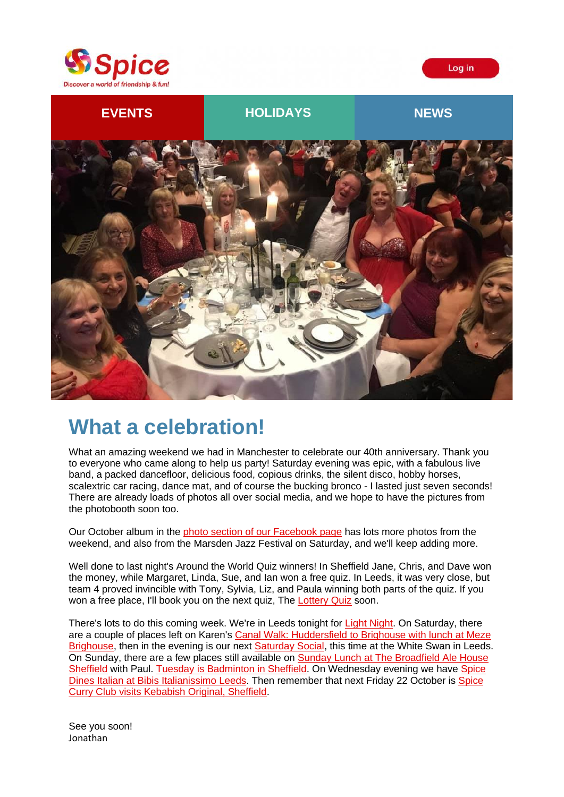





## **What a celebration!**

What an amazing weekend we had in Manchester to celebrate our 40th anniversary. Thank you to everyone who came along to help us party! Saturday evening was epic, with a fabulous live band, a packed dancefloor, delicious food, copious drinks, the silent disco, hobby horses, scalextric car racing, dance mat, and of course the bucking bronco - I lasted just seven seconds! There are already loads of photos all over social media, and we hope to have the pictures from the photobooth soon too.

Our October album in the [photo section of our Facebook page](https://spiceuk.lt.acemlna.com/Prod/link-tracker?redirectUrl=aHR0cHMlM0ElMkYlMkZ3d3cuZmFjZWJvb2suY29tJTJGU3BpY2VZb3Jrc2hpcmUlMkZwaG90b3M=&sig=9MmeNLPRQd6iuXLQMfuDYnTBdipv48jgvyAf1oY82Pme&iat=1634223753&a=650344965&account=spiceuk%2Eactivehosted%2Ecom&email=1lNuJE%2BrfgC%2F8jRYTdcwIV8mo4ad0FCroTtAVDq%2FbzQ%3D&s=b900027c55ea3ffe9431fd4817f89468&i=193A209A4A4789) has lots more photos from the weekend, and also from the Marsden Jazz Festival on Saturday, and we'll keep adding more.

Well done to last night's Around the World Quiz winners! In Sheffield Jane, Chris, and Dave won the money, while Margaret, Linda, Sue, and Ian won a free quiz. In Leeds, it was very close, but team 4 proved invincible with Tony, Sylvia, Liz, and Paula winning both parts of the quiz. If you won a free place, I'll book you on the next quiz, The [Lottery Quiz](https://spiceuk.lt.acemlna.com/Prod/link-tracker?redirectUrl=aHR0cHMlM0ElMkYlMkZ3d3cuc3BpY2V1ay5jb20lMkZldmVudHMtaG9saWRheXMlM0Zvd25lciUzRFNwaWNlJTI1MjBZb3Jrc2hpcmUlMjZzZWFyY2glM0RRdWl6&sig=ECZ5rH7Uqtqwnq6XsRvGH777EdMaJJzFU877PN1yLLqb&iat=1634223753&a=650344965&account=spiceuk%2Eactivehosted%2Ecom&email=1lNuJE%2BrfgC%2F8jRYTdcwIV8mo4ad0FCroTtAVDq%2FbzQ%3D&s=b900027c55ea3ffe9431fd4817f89468&i=193A209A4A4798) soon.

There's lots to do this coming week. We're in Leeds tonight for [Light Night.](https://spiceuk.lt.acemlna.com/Prod/link-tracker?redirectUrl=aHR0cHMlM0ElMkYlMkZ3d3cuc3BpY2V1ay5jb20lMkZldmVudHMtaG9saWRheXMlMkZsZWVkcy1saWdodC1uaWdodC0xNC1vY3QtMjE=&sig=6HMR6DxRXBV46zzM2j5sz9cdGnUjkhEBP2LMSQrKhF56&iat=1634223753&a=650344965&account=spiceuk%2Eactivehosted%2Ecom&email=1lNuJE%2BrfgC%2F8jRYTdcwIV8mo4ad0FCroTtAVDq%2FbzQ%3D&s=b900027c55ea3ffe9431fd4817f89468&i=193A209A4A4799) On Saturday, there are a couple of places left on Karen's [Canal Walk: Huddersfield to Brighouse with lunch at Meze](https://spiceuk.lt.acemlna.com/Prod/link-tracker?redirectUrl=aHR0cHMlM0ElMkYlMkZ3d3cuc3BpY2V1ay5jb20lMkZldmVudHMtaG9saWRheXMlMkZjYW5hbC13YWxrLWh1ZGRlcnNmaWVsZC10by1icmlnaG91c2Utd2l0aC1sdW5jaC1hdC1tZXplLWJyaWdob3VzZQ==&sig=9bK28PSuWp1Khpk1sk1cEUeCZPdt2FwZDh8aXAPkcqgi&iat=1634223753&a=650344965&account=spiceuk%2Eactivehosted%2Ecom&email=1lNuJE%2BrfgC%2F8jRYTdcwIV8mo4ad0FCroTtAVDq%2FbzQ%3D&s=b900027c55ea3ffe9431fd4817f89468&i=193A209A4A4814)  [Brighouse,](https://spiceuk.lt.acemlna.com/Prod/link-tracker?redirectUrl=aHR0cHMlM0ElMkYlMkZ3d3cuc3BpY2V1ay5jb20lMkZldmVudHMtaG9saWRheXMlMkZjYW5hbC13YWxrLWh1ZGRlcnNmaWVsZC10by1icmlnaG91c2Utd2l0aC1sdW5jaC1hdC1tZXplLWJyaWdob3VzZQ==&sig=9bK28PSuWp1Khpk1sk1cEUeCZPdt2FwZDh8aXAPkcqgi&iat=1634223753&a=650344965&account=spiceuk%2Eactivehosted%2Ecom&email=1lNuJE%2BrfgC%2F8jRYTdcwIV8mo4ad0FCroTtAVDq%2FbzQ%3D&s=b900027c55ea3ffe9431fd4817f89468&i=193A209A4A4814) then in the evening is our next [Saturday Social,](https://spiceuk.lt.acemlna.com/Prod/link-tracker?redirectUrl=aHR0cHMlM0ElMkYlMkZ3d3cuc3BpY2V1ay5jb20lMkZldmVudHMtaG9saWRheXMlMkZzYXR1cmRheS1zb2NpYWwtYXQtdGhlLXdoaXRlLXN3YW4tbGVlZHM=&sig=5MWxGsNJgoikSbWxEiHprxm8rKuS42kRPn61NbhcHZM1&iat=1634223753&a=650344965&account=spiceuk%2Eactivehosted%2Ecom&email=1lNuJE%2BrfgC%2F8jRYTdcwIV8mo4ad0FCroTtAVDq%2FbzQ%3D&s=b900027c55ea3ffe9431fd4817f89468&i=193A209A4A4815) this time at the White Swan in Leeds. On Sunday, there are a few places still available on [Sunday Lunch at The Broadfield Ale House](https://spiceuk.lt.acemlna.com/Prod/link-tracker?redirectUrl=aHR0cHMlM0ElMkYlMkZ3d3cuc3BpY2V1ay5jb20lMkZldmVudHMtaG9saWRheXMlMkZzdW5kYXktbHVuY2gtYXQtdGhlLWJyb2FkZmllbGQtYWxlLWhvdXNlLXNoZWZmaWVsZA==&sig=rQMH7RgP2dftDgMJ4kQE6gprtfoaruvkputCTQPLPzv&iat=1634223753&a=650344965&account=spiceuk%2Eactivehosted%2Ecom&email=1lNuJE%2BrfgC%2F8jRYTdcwIV8mo4ad0FCroTtAVDq%2FbzQ%3D&s=b900027c55ea3ffe9431fd4817f89468&i=193A209A4A4816)  [Sheffield](https://spiceuk.lt.acemlna.com/Prod/link-tracker?redirectUrl=aHR0cHMlM0ElMkYlMkZ3d3cuc3BpY2V1ay5jb20lMkZldmVudHMtaG9saWRheXMlMkZzdW5kYXktbHVuY2gtYXQtdGhlLWJyb2FkZmllbGQtYWxlLWhvdXNlLXNoZWZmaWVsZA==&sig=rQMH7RgP2dftDgMJ4kQE6gprtfoaruvkputCTQPLPzv&iat=1634223753&a=650344965&account=spiceuk%2Eactivehosted%2Ecom&email=1lNuJE%2BrfgC%2F8jRYTdcwIV8mo4ad0FCroTtAVDq%2FbzQ%3D&s=b900027c55ea3ffe9431fd4817f89468&i=193A209A4A4816) with Paul. [Tuesday is Badminton in Sheffield.](https://spiceuk.lt.acemlna.com/Prod/link-tracker?redirectUrl=aHR0cHMlM0ElMkYlMkZ3d3cuc3BpY2V1ay5jb20lMkZldmVudHMtaG9saWRheXMlMkZiYWRtaW50b24taW4tc2hlZmZpZWxkLTE5LW9jdC0yMQ==&sig=9FSvnFicdvTQyKjZghjQiofWfRqm8jdZtLhRto8sjGon&iat=1634223753&a=650344965&account=spiceuk%2Eactivehosted%2Ecom&email=1lNuJE%2BrfgC%2F8jRYTdcwIV8mo4ad0FCroTtAVDq%2FbzQ%3D&s=b900027c55ea3ffe9431fd4817f89468&i=193A209A4A4817) On Wednesday evening we have [Spice](https://spiceuk.lt.acemlna.com/Prod/link-tracker?redirectUrl=aHR0cHMlM0ElMkYlMkZ3d3cuc3BpY2V1ay5jb20lMkZldmVudHMtaG9saWRheXMlMkZzcGljZS1kaW5lcy1pdGFsaWFuLWF0LWJpYmlzLWl0YWxpYW5pc3NpbW8tbGVlZHM=&sig=6S2z8St7JdKwfcW8QGY2PRTdq3BTpyfNTLbzJJ2vb5Nb&iat=1634223753&a=650344965&account=spiceuk%2Eactivehosted%2Ecom&email=1lNuJE%2BrfgC%2F8jRYTdcwIV8mo4ad0FCroTtAVDq%2FbzQ%3D&s=b900027c55ea3ffe9431fd4817f89468&i=193A209A4A4818)  [Dines Italian at Bibis Italianissimo Leeds.](https://spiceuk.lt.acemlna.com/Prod/link-tracker?redirectUrl=aHR0cHMlM0ElMkYlMkZ3d3cuc3BpY2V1ay5jb20lMkZldmVudHMtaG9saWRheXMlMkZzcGljZS1kaW5lcy1pdGFsaWFuLWF0LWJpYmlzLWl0YWxpYW5pc3NpbW8tbGVlZHM=&sig=6S2z8St7JdKwfcW8QGY2PRTdq3BTpyfNTLbzJJ2vb5Nb&iat=1634223753&a=650344965&account=spiceuk%2Eactivehosted%2Ecom&email=1lNuJE%2BrfgC%2F8jRYTdcwIV8mo4ad0FCroTtAVDq%2FbzQ%3D&s=b900027c55ea3ffe9431fd4817f89468&i=193A209A4A4818) Then remember that next Friday 22 October is [Spice](https://spiceuk.lt.acemlna.com/Prod/link-tracker?redirectUrl=aHR0cHMlM0ElMkYlMkZ3d3cuc3BpY2V1ay5jb20lMkZldmVudHMtaG9saWRheXMlMkZzcGljZS1jdXJyeS1jbHViLXZpc2l0cy1rZWJhYmlzaC1vcmlnaW5hbC1zaGVmZmllbGQ=&sig=HqZkAndpD4WCfMxXeiESnWkt8M4d7PtcRfg2giwPh1ny&iat=1634223753&a=650344965&account=spiceuk%2Eactivehosted%2Ecom&email=1lNuJE%2BrfgC%2F8jRYTdcwIV8mo4ad0FCroTtAVDq%2FbzQ%3D&s=b900027c55ea3ffe9431fd4817f89468&i=193A209A4A4801)  [Curry Club visits Kebabish Original, Sheffield.](https://spiceuk.lt.acemlna.com/Prod/link-tracker?redirectUrl=aHR0cHMlM0ElMkYlMkZ3d3cuc3BpY2V1ay5jb20lMkZldmVudHMtaG9saWRheXMlMkZzcGljZS1jdXJyeS1jbHViLXZpc2l0cy1rZWJhYmlzaC1vcmlnaW5hbC1zaGVmZmllbGQ=&sig=HqZkAndpD4WCfMxXeiESnWkt8M4d7PtcRfg2giwPh1ny&iat=1634223753&a=650344965&account=spiceuk%2Eactivehosted%2Ecom&email=1lNuJE%2BrfgC%2F8jRYTdcwIV8mo4ad0FCroTtAVDq%2FbzQ%3D&s=b900027c55ea3ffe9431fd4817f89468&i=193A209A4A4801)

See you soon! Jonathan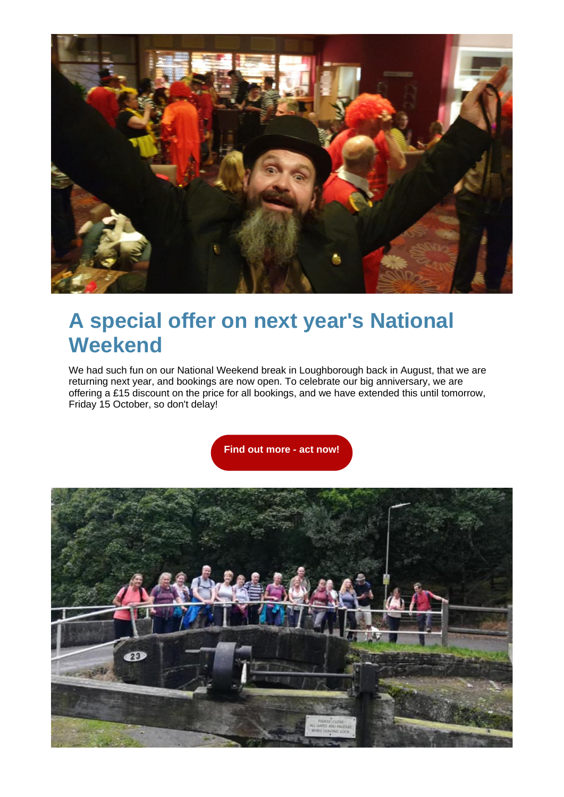

# **A special offer on next year's National Weekend**

We had such fun on our National Weekend break in Loughborough back in August, that we are returning next year, and bookings are now open. To celebrate our big anniversary, we are offering a £15 discount on the price for all bookings, and we have extended this until tomorrow, Friday 15 October, so don't delay!

**[Find out more -](https://spiceuk.lt.acemlna.com/Prod/link-tracker?redirectUrl=aHR0cHMlM0ElMkYlMkZ3d3cuc3BpY2V1ay5jb20lMkZldmVudHMtaG9saWRheXMlMkZzcGljZS1uYXRpb25hbC13ZWVrZW5kLWxvdWdoYm9yb3VnaC11bml2ZXJzaXR5LTA1LWF1Zy0yMg==&sig=DopVe2btpP9bwa3yWTnuGazgQHubpsTGvhtFSpKwbgaM&iat=1634223753&a=650344965&account=spiceuk%2Eactivehosted%2Ecom&email=1lNuJE%2BrfgC%2F8jRYTdcwIV8mo4ad0FCroTtAVDq%2FbzQ%3D&s=b900027c55ea3ffe9431fd4817f89468&i=193A209A4A4791) act now!**

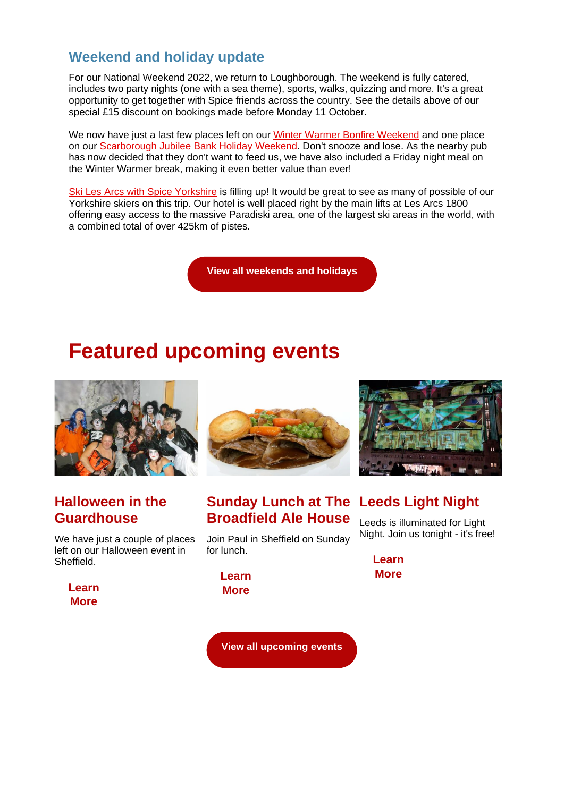### **Weekend and holiday update**

For our National Weekend 2022, we return to Loughborough. The weekend is fully catered, includes two party nights (one with a sea theme), sports, walks, quizzing and more. It's a great opportunity to get together with Spice friends across the country. See the details above of our special £15 discount on bookings made before Monday 11 October.

We now have just a last few places left on our [Winter Warmer Bonfire Weekend](https://spiceuk.lt.acemlna.com/Prod/link-tracker?redirectUrl=aHR0cHMlM0ElMkYlMkZ3d3cuc3BpY2V1ay5jb20lMkZldmVudHMtaG9saWRheXMlMkZ3aW50ZXItd2FybWVyLWJvbmZpcmUtd2Vla2VuZC0wNi1ub3YtMjA=&sig=HN1e1n68S4vEidRLRaRFH889DYNVLFzaYjwXo3ZkaGyP&iat=1634223753&a=650344965&account=spiceuk%2Eactivehosted%2Ecom&email=1lNuJE%2BrfgC%2F8jRYTdcwIV8mo4ad0FCroTtAVDq%2FbzQ%3D&s=b900027c55ea3ffe9431fd4817f89468&i=193A209A4A4793) and one place on our [Scarborough Jubilee Bank Holiday Weekend.](https://spiceuk.lt.acemlna.com/Prod/link-tracker?redirectUrl=aHR0cHMlM0ElMkYlMkZ3d3cuc3BpY2V1ay5jb20lMkZldmVudHMtaG9saWRheXMlMkZzY2FyYm9yb3VnaC12ZS1iYW5rLWhvbGlkYXktd2Vla2VuZA==&sig=3bnRUoUC71A2ZDZ4RAi3P2JiU7UeQeMA6CrgaTSPgzXX&iat=1634223753&a=650344965&account=spiceuk%2Eactivehosted%2Ecom&email=1lNuJE%2BrfgC%2F8jRYTdcwIV8mo4ad0FCroTtAVDq%2FbzQ%3D&s=b900027c55ea3ffe9431fd4817f89468&i=193A209A4A4794) Don't snooze and lose. As the nearby pub has now decided that they don't want to feed us, we have also included a Friday night meal on the Winter Warmer break, making it even better value than ever!

[Ski Les Arcs with Spice Yorkshire](https://spiceuk.lt.acemlna.com/Prod/link-tracker?redirectUrl=aHR0cHMlM0ElMkYlMkZ3d3cuc3BpY2V1ay5jb20lMkZldmVudHMtaG9saWRheXMlMkZza2ktbGVzLWFyY3Mtd2l0aC1zcGljZS15b3Jrc2hpcmU=&sig=51aFJCNxhWs8GPw3meiHYAdyUde4tpjHjCH5hM4LZZGd&iat=1634223753&a=650344965&account=spiceuk%2Eactivehosted%2Ecom&email=1lNuJE%2BrfgC%2F8jRYTdcwIV8mo4ad0FCroTtAVDq%2FbzQ%3D&s=b900027c55ea3ffe9431fd4817f89468&i=193A209A4A4795) is filling up! It would be great to see as many of possible of our Yorkshire skiers on this trip. Our hotel is well placed right by the main lifts at Les Arcs 1800 offering easy access to the massive Paradiski area, one of the largest ski areas in the world, with a combined total of over 425km of pistes.

**[View all weekends and holidays](https://spiceuk.lt.acemlna.com/Prod/link-tracker?redirectUrl=aHR0cHMlM0ElMkYlMkZ3d3cuc3BpY2V1ay5jb20lMkZldmVudHMtaG9saWRheXMlM0Zvd25lciUzREFsbCUyNm1hc3RlckNhdGVnb3J5JTNESG9saWRheXMlMjZtYXN0ZXJDYXRlZ29yeSUzRFdlZWtlbmRzJTI1MjBBd2F5&sig=23e4mtScKdn2bixQpBaUsG7BcATVvnkCRoJaFQfujtA7&iat=1634223753&a=650344965&account=spiceuk%2Eactivehosted%2Ecom&email=1lNuJE%2BrfgC%2F8jRYTdcwIV8mo4ad0FCroTtAVDq%2FbzQ%3D&s=b900027c55ea3ffe9431fd4817f89468&i=193A209A4A4792)**

## **Featured upcoming events**



#### **Halloween in the Guardhouse**

We have just a couple of places left on our Halloween event in Sheffield.

**[Learn](https://spiceuk.lt.acemlna.com/Prod/link-tracker?redirectUrl=aHR0cHMlM0ElMkYlMkZ3d3cuc3BpY2V1ay5jb20lMkZldmVudHMtaG9saWRheXMlMkZoYWxsb3dlZW4taW4tdGhlLWd1YXJkaG91c2U=&sig=G2ozistiajP7Krn8zSLDKJyPwHFScLW3F92Uyw3VMWdH&iat=1634223753&a=650344965&account=spiceuk%2Eactivehosted%2Ecom&email=1lNuJE%2BrfgC%2F8jRYTdcwIV8mo4ad0FCroTtAVDq%2FbzQ%3D&s=b900027c55ea3ffe9431fd4817f89468&i=193A209A4A4819)  More**



**Sunday Lunch at The Leeds Light Night Broadfield Ale House**

Join Paul in Sheffield on Sunday for lunch.

**[Learn](https://spiceuk.lt.acemlna.com/Prod/link-tracker?redirectUrl=aHR0cHMlM0ElMkYlMkZ3d3cuc3BpY2V1ay5jb20lMkZldmVudHMtaG9saWRheXMlMkZzdW5kYXktbHVuY2gtYXQtdGhlLWJyb2FkZmllbGQtYWxlLWhvdXNlLXNoZWZmaWVsZA==&sig=rQMH7RgP2dftDgMJ4kQE6gprtfoaruvkputCTQPLPzv&iat=1634223753&a=650344965&account=spiceuk%2Eactivehosted%2Ecom&email=1lNuJE%2BrfgC%2F8jRYTdcwIV8mo4ad0FCroTtAVDq%2FbzQ%3D&s=b900027c55ea3ffe9431fd4817f89468&i=193A209A4A4816)  More**



Leeds is illuminated for Light Night. Join us tonight - it's free!

> **[Learn](https://spiceuk.lt.acemlna.com/Prod/link-tracker?redirectUrl=aHR0cHMlM0ElMkYlMkZ3d3cuc3BpY2V1ay5jb20lMkZldmVudHMtaG9saWRheXMlMkZsZWVkcy1saWdodC1uaWdodC0xNC1vY3QtMjE=&sig=6HMR6DxRXBV46zzM2j5sz9cdGnUjkhEBP2LMSQrKhF56&iat=1634223753&a=650344965&account=spiceuk%2Eactivehosted%2Ecom&email=1lNuJE%2BrfgC%2F8jRYTdcwIV8mo4ad0FCroTtAVDq%2FbzQ%3D&s=b900027c55ea3ffe9431fd4817f89468&i=193A209A4A4799)  More**

**[View all upcoming events](https://spiceuk.lt.acemlna.com/Prod/link-tracker?redirectUrl=aHR0cHMlM0ElMkYlMkZ3d3cuc3BpY2V1ay5jb20lMkZldmVudHMtaG9saWRheXMlM0ZtYXN0ZXJDYXRlZ29yeSUzREFsbCUyNmNhdGVnb3J5JTNEQWxsJTI2b3duZXIlM0RBbGw=&sig=DoLJgkUeGgivy18hdhknBNzvk8FvVeNeFiDhLJiaZ9V&iat=1634223753&a=650344965&account=spiceuk%2Eactivehosted%2Ecom&email=1lNuJE%2BrfgC%2F8jRYTdcwIV8mo4ad0FCroTtAVDq%2FbzQ%3D&s=b900027c55ea3ffe9431fd4817f89468&i=193A209A4A4800)**